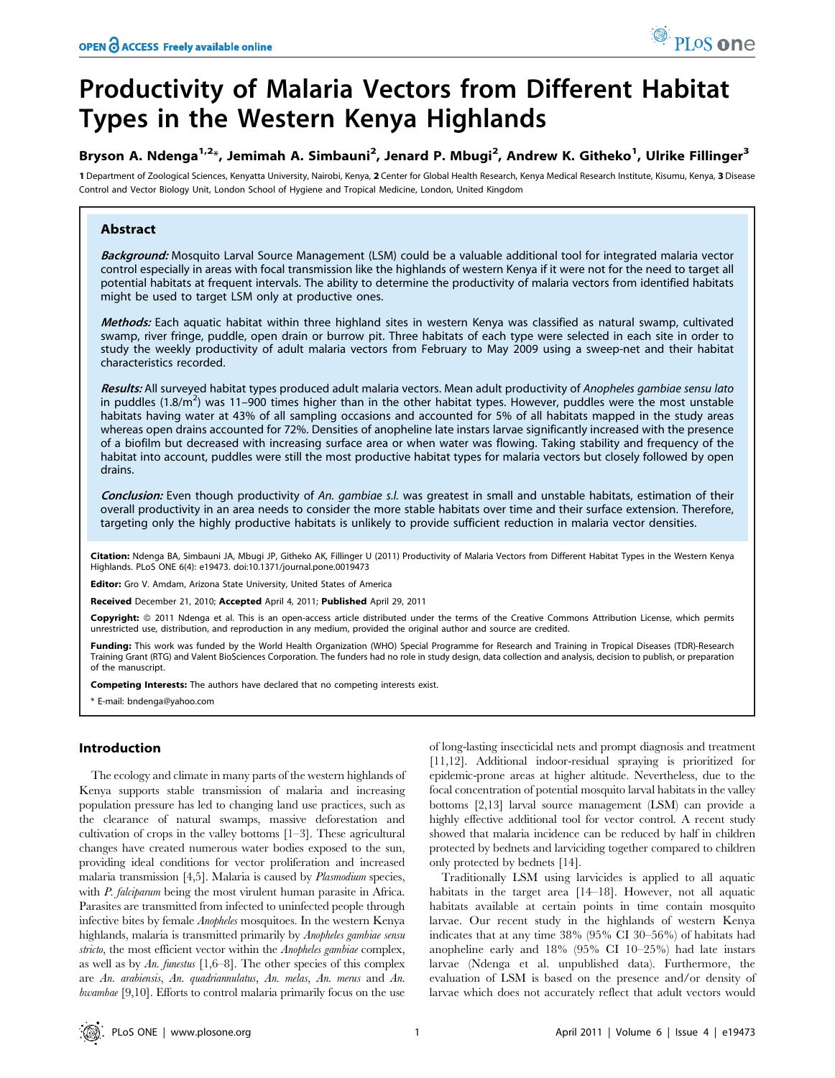# Productivity of Malaria Vectors from Different Habitat Types in the Western Kenya Highlands

## Bryson A. Ndenga<sup>1,2</sup>\*, Jemimah A. Simbauni<sup>2</sup>, Jenard P. Mbugi<sup>2</sup>, Andrew K. Githeko<sup>1</sup>, Ulrike Fillinger<sup>3</sup>

1 Department of Zoological Sciences, Kenyatta University, Nairobi, Kenya, 2 Center for Global Health Research, Kenya Medical Research Institute, Kisumu, Kenya, 3 Disease Control and Vector Biology Unit, London School of Hygiene and Tropical Medicine, London, United Kingdom

## Abstract

Background: Mosquito Larval Source Management (LSM) could be a valuable additional tool for integrated malaria vector control especially in areas with focal transmission like the highlands of western Kenya if it were not for the need to target all potential habitats at frequent intervals. The ability to determine the productivity of malaria vectors from identified habitats might be used to target LSM only at productive ones.

Methods: Each aquatic habitat within three highland sites in western Kenya was classified as natural swamp, cultivated swamp, river fringe, puddle, open drain or burrow pit. Three habitats of each type were selected in each site in order to study the weekly productivity of adult malaria vectors from February to May 2009 using a sweep-net and their habitat characteristics recorded.

Results: All surveyed habitat types produced adult malaria vectors. Mean adult productivity of Anopheles gambiae sensu lato in puddles (1.8/m<sup>2</sup>) was 11–900 times higher than in the other habitat types. However, puddles were the most unstable habitats having water at 43% of all sampling occasions and accounted for 5% of all habitats mapped in the study areas whereas open drains accounted for 72%. Densities of anopheline late instars larvae significantly increased with the presence of a biofilm but decreased with increasing surface area or when water was flowing. Taking stability and frequency of the habitat into account, puddles were still the most productive habitat types for malaria vectors but closely followed by open drains.

Conclusion: Even though productivity of An. gambiae s.l. was greatest in small and unstable habitats, estimation of their overall productivity in an area needs to consider the more stable habitats over time and their surface extension. Therefore, targeting only the highly productive habitats is unlikely to provide sufficient reduction in malaria vector densities.

Citation: Ndenga BA, Simbauni JA, Mbugi JP, Githeko AK, Fillinger U (2011) Productivity of Malaria Vectors from Different Habitat Types in the Western Kenya Highlands. PLoS ONE 6(4): e19473. doi:10.1371/journal.pone.0019473

Editor: Gro V. Amdam, Arizona State University, United States of America

Received December 21, 2010; Accepted April 4, 2011; Published April 29, 2011

Copyright: © 2011 Ndenga et al. This is an open-access article distributed under the terms of the Creative Commons Attribution License, which permits unrestricted use, distribution, and reproduction in any medium, provided the original author and source are credited.

Funding: This work was funded by the World Health Organization (WHO) Special Programme for Research and Training in Tropical Diseases (TDR)-Research Training Grant (RTG) and Valent BioSciences Corporation. The funders had no role in study design, data collection and analysis, decision to publish, or preparation of the manuscript.

Competing Interests: The authors have declared that no competing interests exist.

\* E-mail: bndenga@yahoo.com

## Introduction

The ecology and climate in many parts of the western highlands of Kenya supports stable transmission of malaria and increasing population pressure has led to changing land use practices, such as the clearance of natural swamps, massive deforestation and cultivation of crops in the valley bottoms [1–3]. These agricultural changes have created numerous water bodies exposed to the sun, providing ideal conditions for vector proliferation and increased malaria transmission [4,5]. Malaria is caused by Plasmodium species, with *P. falciparum* being the most virulent human parasite in Africa. Parasites are transmitted from infected to uninfected people through infective bites by female Anopheles mosquitoes. In the western Kenya highlands, malaria is transmitted primarily by Anopheles gambiae sensu stricto, the most efficient vector within the Anopheles gambiae complex, as well as by An. funestus  $[1,6–8]$ . The other species of this complex are An. arabiensis, An. quadriannulatus, An. melas, An. merus and An. bwambae [9,10]. Efforts to control malaria primarily focus on the use

of long-lasting insecticidal nets and prompt diagnosis and treatment [11,12]. Additional indoor-residual spraying is prioritized for epidemic-prone areas at higher altitude. Nevertheless, due to the focal concentration of potential mosquito larval habitats in the valley bottoms [2,13] larval source management (LSM) can provide a highly effective additional tool for vector control. A recent study showed that malaria incidence can be reduced by half in children protected by bednets and larviciding together compared to children only protected by bednets [14].

Traditionally LSM using larvicides is applied to all aquatic habitats in the target area [14–18]. However, not all aquatic habitats available at certain points in time contain mosquito larvae. Our recent study in the highlands of western Kenya indicates that at any time 38% (95% CI 30–56%) of habitats had anopheline early and 18% (95% CI 10–25%) had late instars larvae (Ndenga et al. unpublished data). Furthermore, the evaluation of LSM is based on the presence and/or density of larvae which does not accurately reflect that adult vectors would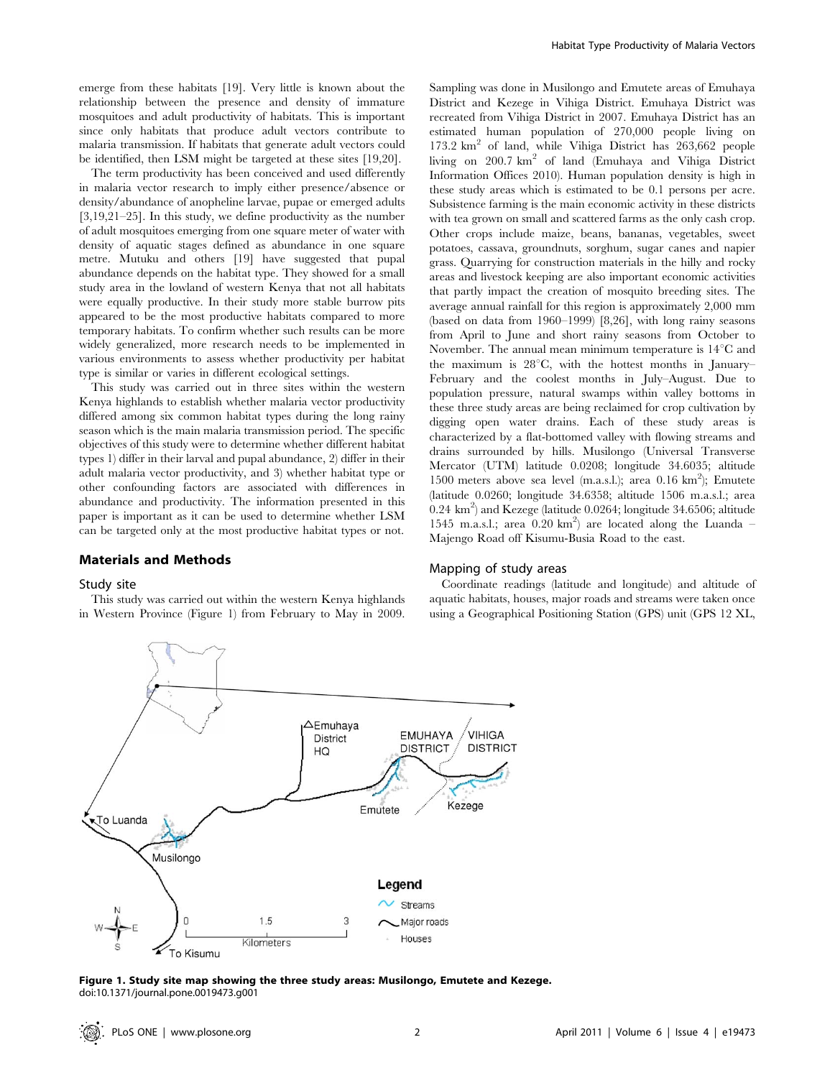emerge from these habitats [19]. Very little is known about the relationship between the presence and density of immature mosquitoes and adult productivity of habitats. This is important since only habitats that produce adult vectors contribute to malaria transmission. If habitats that generate adult vectors could be identified, then LSM might be targeted at these sites [19,20].

The term productivity has been conceived and used differently in malaria vector research to imply either presence/absence or density/abundance of anopheline larvae, pupae or emerged adults [3,19,21–25]. In this study, we define productivity as the number of adult mosquitoes emerging from one square meter of water with density of aquatic stages defined as abundance in one square metre. Mutuku and others [19] have suggested that pupal abundance depends on the habitat type. They showed for a small study area in the lowland of western Kenya that not all habitats were equally productive. In their study more stable burrow pits appeared to be the most productive habitats compared to more temporary habitats. To confirm whether such results can be more widely generalized, more research needs to be implemented in various environments to assess whether productivity per habitat type is similar or varies in different ecological settings.

This study was carried out in three sites within the western Kenya highlands to establish whether malaria vector productivity differed among six common habitat types during the long rainy season which is the main malaria transmission period. The specific objectives of this study were to determine whether different habitat types 1) differ in their larval and pupal abundance, 2) differ in their adult malaria vector productivity, and 3) whether habitat type or other confounding factors are associated with differences in abundance and productivity. The information presented in this paper is important as it can be used to determine whether LSM can be targeted only at the most productive habitat types or not.

#### Materials and Methods

#### Study site

This study was carried out within the western Kenya highlands in Western Province (Figure 1) from February to May in 2009. Sampling was done in Musilongo and Emutete areas of Emuhaya District and Kezege in Vihiga District. Emuhaya District was recreated from Vihiga District in 2007. Emuhaya District has an estimated human population of 270,000 people living on  $173.2 \text{ km}^2$  of land, while Vihiga District has  $263,662$  people living on  $200.7 \text{ km}^2$  of land (Emuhaya and Vihiga District Information Offices 2010). Human population density is high in these study areas which is estimated to be 0.1 persons per acre. Subsistence farming is the main economic activity in these districts with tea grown on small and scattered farms as the only cash crop. Other crops include maize, beans, bananas, vegetables, sweet potatoes, cassava, groundnuts, sorghum, sugar canes and napier grass. Quarrying for construction materials in the hilly and rocky areas and livestock keeping are also important economic activities that partly impact the creation of mosquito breeding sites. The average annual rainfall for this region is approximately 2,000 mm (based on data from 1960–1999) [8,26], with long rainy seasons from April to June and short rainy seasons from October to November. The annual mean minimum temperature is  $14^{\circ}$ C and the maximum is  $28^{\circ}C$ , with the hottest months in January– February and the coolest months in July–August. Due to population pressure, natural swamps within valley bottoms in these three study areas are being reclaimed for crop cultivation by digging open water drains. Each of these study areas is characterized by a flat-bottomed valley with flowing streams and drains surrounded by hills. Musilongo (Universal Transverse Mercator (UTM) latitude 0.0208; longitude 34.6035; altitude 1500 meters above sea level (m.a.s.l.); area 0.16 km<sup>2</sup> ); Emutete (latitude 0.0260; longitude 34.6358; altitude 1506 m.a.s.l.; area  $(0.24 \text{ km}^2)$  and Kezege (latitude 0.0264; longitude 34.6506; altitude 1545 m.a.s.l.; area 0.20 km<sup>2</sup>) are located along the Luanda -Majengo Road off Kisumu-Busia Road to the east.

#### Mapping of study areas

Coordinate readings (latitude and longitude) and altitude of aquatic habitats, houses, major roads and streams were taken once using a Geographical Positioning Station (GPS) unit (GPS 12 XL,



Figure 1. Study site map showing the three study areas: Musilongo, Emutete and Kezege. doi:10.1371/journal.pone.0019473.g001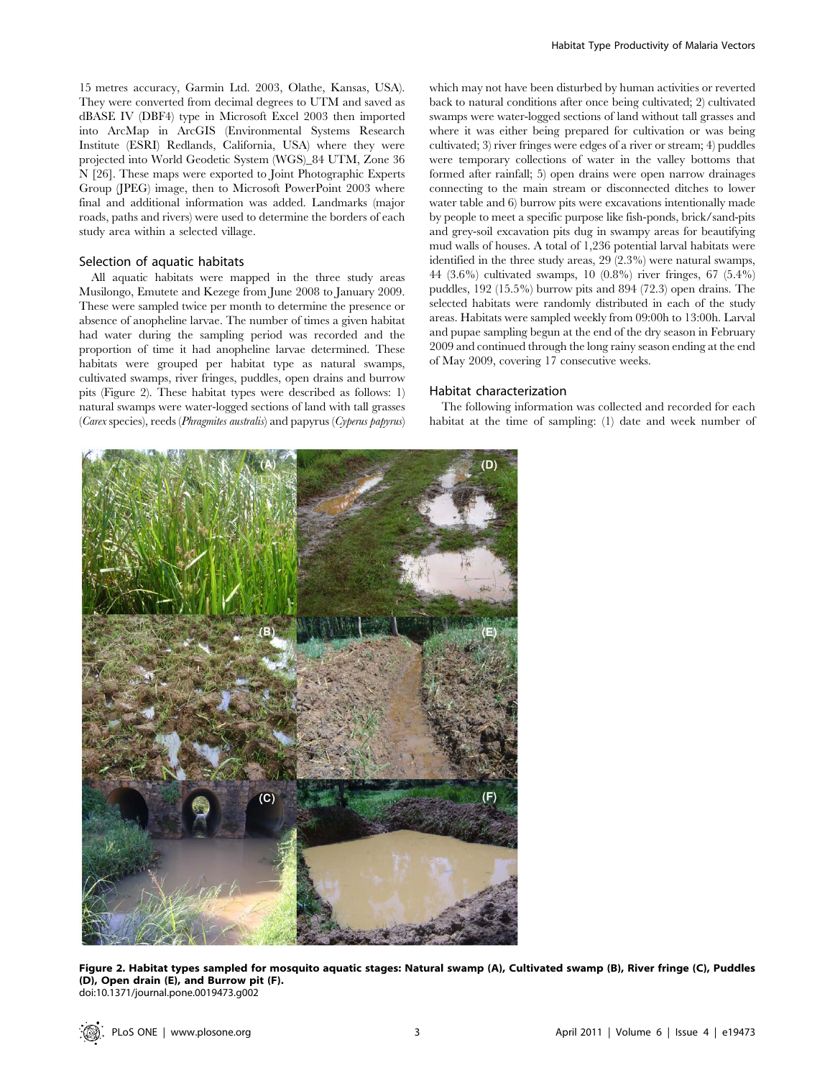15 metres accuracy, Garmin Ltd. 2003, Olathe, Kansas, USA). They were converted from decimal degrees to UTM and saved as dBASE IV (DBF4) type in Microsoft Excel 2003 then imported into ArcMap in ArcGIS (Environmental Systems Research Institute (ESRI) Redlands, California, USA) where they were projected into World Geodetic System (WGS)\_84 UTM, Zone 36 N [26]. These maps were exported to Joint Photographic Experts Group (JPEG) image, then to Microsoft PowerPoint 2003 where final and additional information was added. Landmarks (major roads, paths and rivers) were used to determine the borders of each study area within a selected village.

#### Selection of aquatic habitats

All aquatic habitats were mapped in the three study areas Musilongo, Emutete and Kezege from June 2008 to January 2009. These were sampled twice per month to determine the presence or absence of anopheline larvae. The number of times a given habitat had water during the sampling period was recorded and the proportion of time it had anopheline larvae determined. These habitats were grouped per habitat type as natural swamps, cultivated swamps, river fringes, puddles, open drains and burrow pits (Figure 2). These habitat types were described as follows: 1) natural swamps were water-logged sections of land with tall grasses (Carex species), reeds (Phragmites australis) and papyrus (Cyperus papyrus) which may not have been disturbed by human activities or reverted back to natural conditions after once being cultivated; 2) cultivated swamps were water-logged sections of land without tall grasses and where it was either being prepared for cultivation or was being cultivated; 3) river fringes were edges of a river or stream; 4) puddles were temporary collections of water in the valley bottoms that formed after rainfall; 5) open drains were open narrow drainages connecting to the main stream or disconnected ditches to lower water table and 6) burrow pits were excavations intentionally made by people to meet a specific purpose like fish-ponds, brick/sand-pits and grey-soil excavation pits dug in swampy areas for beautifying mud walls of houses. A total of 1,236 potential larval habitats were identified in the three study areas, 29 (2.3%) were natural swamps, 44 (3.6%) cultivated swamps, 10 (0.8%) river fringes, 67 (5.4%) puddles, 192 (15.5%) burrow pits and 894 (72.3) open drains. The selected habitats were randomly distributed in each of the study areas. Habitats were sampled weekly from 09:00h to 13:00h. Larval and pupae sampling begun at the end of the dry season in February 2009 and continued through the long rainy season ending at the end of May 2009, covering 17 consecutive weeks.

### Habitat characterization

The following information was collected and recorded for each habitat at the time of sampling: (1) date and week number of



Figure 2. Habitat types sampled for mosquito aquatic stages: Natural swamp (A), Cultivated swamp (B), River fringe (C), Puddles (D), Open drain (E), and Burrow pit (F). doi:10.1371/journal.pone.0019473.g002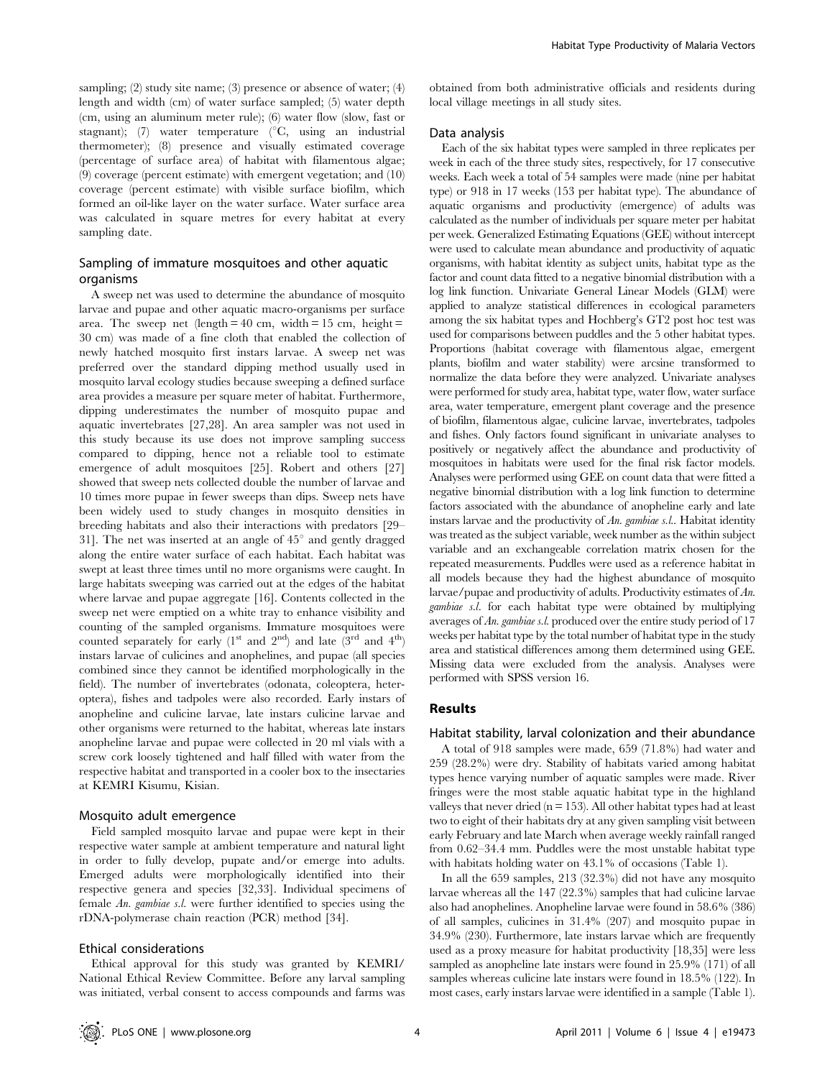sampling; (2) study site name; (3) presence or absence of water; (4) length and width (cm) of water surface sampled; (5) water depth (cm, using an aluminum meter rule); (6) water flow (slow, fast or stagnant); (7) water temperature  $\binom{\circ}{C}$ , using an industrial thermometer); (8) presence and visually estimated coverage (percentage of surface area) of habitat with filamentous algae; (9) coverage (percent estimate) with emergent vegetation; and (10) coverage (percent estimate) with visible surface biofilm, which formed an oil-like layer on the water surface. Water surface area was calculated in square metres for every habitat at every sampling date.

## Sampling of immature mosquitoes and other aquatic organisms

A sweep net was used to determine the abundance of mosquito larvae and pupae and other aquatic macro-organisms per surface area. The sweep net (length =  $40 \text{ cm}$ , width =  $15 \text{ cm}$ , height = 30 cm) was made of a fine cloth that enabled the collection of newly hatched mosquito first instars larvae. A sweep net was preferred over the standard dipping method usually used in mosquito larval ecology studies because sweeping a defined surface area provides a measure per square meter of habitat. Furthermore, dipping underestimates the number of mosquito pupae and aquatic invertebrates [27,28]. An area sampler was not used in this study because its use does not improve sampling success compared to dipping, hence not a reliable tool to estimate emergence of adult mosquitoes [25]. Robert and others [27] showed that sweep nets collected double the number of larvae and 10 times more pupae in fewer sweeps than dips. Sweep nets have been widely used to study changes in mosquito densities in breeding habitats and also their interactions with predators [29– 31]. The net was inserted at an angle of  $45^{\circ}$  and gently dragged along the entire water surface of each habitat. Each habitat was swept at least three times until no more organisms were caught. In large habitats sweeping was carried out at the edges of the habitat where larvae and pupae aggregate [16]. Contents collected in the sweep net were emptied on a white tray to enhance visibility and counting of the sampled organisms. Immature mosquitoes were counted separately for early  $(1^{st}$  and  $2^{nd}$ ) and late  $(3^{rd}$  and  $4^{th})$ instars larvae of culicines and anophelines, and pupae (all species combined since they cannot be identified morphologically in the field). The number of invertebrates (odonata, coleoptera, heteroptera), fishes and tadpoles were also recorded. Early instars of anopheline and culicine larvae, late instars culicine larvae and other organisms were returned to the habitat, whereas late instars anopheline larvae and pupae were collected in 20 ml vials with a screw cork loosely tightened and half filled with water from the respective habitat and transported in a cooler box to the insectaries at KEMRI Kisumu, Kisian.

## Mosquito adult emergence

Field sampled mosquito larvae and pupae were kept in their respective water sample at ambient temperature and natural light in order to fully develop, pupate and/or emerge into adults. Emerged adults were morphologically identified into their respective genera and species [32,33]. Individual specimens of female An. gambiae s.l. were further identified to species using the rDNA-polymerase chain reaction (PCR) method [34].

#### Ethical considerations

Ethical approval for this study was granted by KEMRI/ National Ethical Review Committee. Before any larval sampling was initiated, verbal consent to access compounds and farms was obtained from both administrative officials and residents during local village meetings in all study sites.

#### Data analysis

Each of the six habitat types were sampled in three replicates per week in each of the three study sites, respectively, for 17 consecutive weeks. Each week a total of 54 samples were made (nine per habitat type) or 918 in 17 weeks (153 per habitat type). The abundance of aquatic organisms and productivity (emergence) of adults was calculated as the number of individuals per square meter per habitat per week. Generalized Estimating Equations (GEE) without intercept were used to calculate mean abundance and productivity of aquatic organisms, with habitat identity as subject units, habitat type as the factor and count data fitted to a negative binomial distribution with a log link function. Univariate General Linear Models (GLM) were applied to analyze statistical differences in ecological parameters among the six habitat types and Hochberg's GT2 post hoc test was used for comparisons between puddles and the 5 other habitat types. Proportions (habitat coverage with filamentous algae, emergent plants, biofilm and water stability) were arcsine transformed to normalize the data before they were analyzed. Univariate analyses were performed for study area, habitat type, water flow, water surface area, water temperature, emergent plant coverage and the presence of biofilm, filamentous algae, culicine larvae, invertebrates, tadpoles and fishes. Only factors found significant in univariate analyses to positively or negatively affect the abundance and productivity of mosquitoes in habitats were used for the final risk factor models. Analyses were performed using GEE on count data that were fitted a negative binomial distribution with a log link function to determine factors associated with the abundance of anopheline early and late instars larvae and the productivity of An. gambiae s.l.. Habitat identity was treated as the subject variable, week number as the within subject variable and an exchangeable correlation matrix chosen for the repeated measurements. Puddles were used as a reference habitat in all models because they had the highest abundance of mosquito larvae/pupae and productivity of adults. Productivity estimates of An. gambiae s.l. for each habitat type were obtained by multiplying averages of An. gambiae s.l. produced over the entire study period of 17 weeks per habitat type by the total number of habitat type in the study area and statistical differences among them determined using GEE. Missing data were excluded from the analysis. Analyses were performed with SPSS version 16.

## Results

#### Habitat stability, larval colonization and their abundance

A total of 918 samples were made, 659 (71.8%) had water and 259 (28.2%) were dry. Stability of habitats varied among habitat types hence varying number of aquatic samples were made. River fringes were the most stable aquatic habitat type in the highland valleys that never dried ( $n = 153$ ). All other habitat types had at least two to eight of their habitats dry at any given sampling visit between early February and late March when average weekly rainfall ranged from 0.62–34.4 mm. Puddles were the most unstable habitat type with habitats holding water on 43.1% of occasions (Table 1).

In all the 659 samples, 213 (32.3%) did not have any mosquito larvae whereas all the 147 (22.3%) samples that had culicine larvae also had anophelines. Anopheline larvae were found in 58.6% (386) of all samples, culicines in 31.4% (207) and mosquito pupae in 34.9% (230). Furthermore, late instars larvae which are frequently used as a proxy measure for habitat productivity [18,35] were less sampled as anopheline late instars were found in 25.9% (171) of all samples whereas culicine late instars were found in 18.5% (122). In most cases, early instars larvae were identified in a sample (Table 1).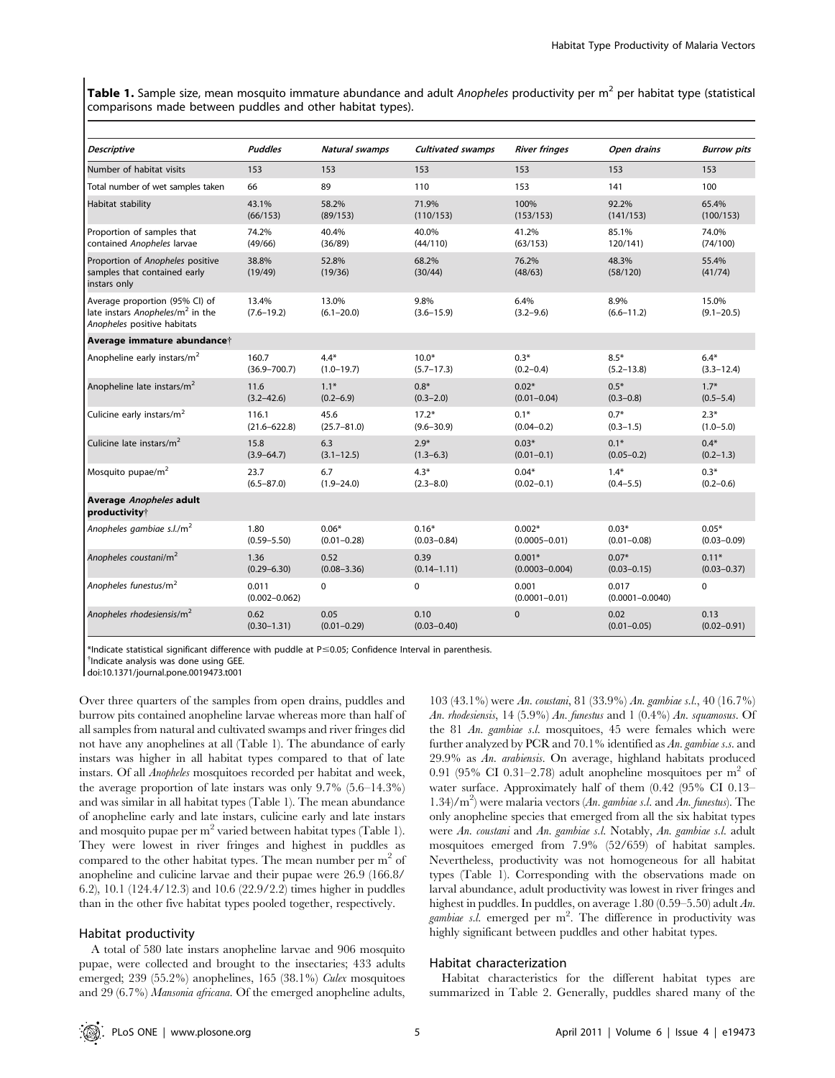Table 1. Sample size, mean mosquito immature abundance and adult Anopheles productivity per m<sup>2</sup> per habitat type (statistical comparisons made between puddles and other habitat types).

| <b>Descriptive</b>                                                                                            | <b>Puddles</b>             | Natural swamps             | <b>Cultivated swamps</b>   | <b>River fringes</b>           | Open drains                  | <b>Burrow pits</b>         |
|---------------------------------------------------------------------------------------------------------------|----------------------------|----------------------------|----------------------------|--------------------------------|------------------------------|----------------------------|
| Number of habitat visits                                                                                      | 153                        | 153                        | 153                        | 153                            | 153                          | 153                        |
| Total number of wet samples taken                                                                             | 66                         | 89                         | 110                        | 153                            | 141                          | 100                        |
| Habitat stability                                                                                             | 43.1%<br>(66/153)          | 58.2%<br>(89/153)          | 71.9%<br>(110/153)         | 100%<br>(153/153)              | 92.2%<br>(141/153)           | 65.4%<br>(100/153)         |
| Proportion of samples that<br>contained Anopheles larvae                                                      | 74.2%<br>(49/66)           | 40.4%<br>(36/89)           | 40.0%<br>(44/110)          | 41.2%<br>(63/153)              | 85.1%<br>120/141)            | 74.0%<br>(74/100)          |
| Proportion of Anopheles positive<br>samples that contained early<br>instars only                              | 38.8%<br>(19/49)           | 52.8%<br>(19/36)           | 68.2%<br>(30/44)           | 76.2%<br>(48/63)               | 48.3%<br>(58/120)            | 55.4%<br>(41/74)           |
| Average proportion (95% CI) of<br>late instars Anopheles/m <sup>2</sup> in the<br>Anopheles positive habitats | 13.4%<br>$(7.6 - 19.2)$    | 13.0%<br>$(6.1 - 20.0)$    | 9.8%<br>$(3.6 - 15.9)$     | 6.4%<br>$(3.2 - 9.6)$          | 8.9%<br>$(6.6 - 11.2)$       | 15.0%<br>$(9.1 - 20.5)$    |
| Average immature abundancet                                                                                   |                            |                            |                            |                                |                              |                            |
| Anopheline early instars/m <sup>2</sup>                                                                       | 160.7<br>$(36.9 - 700.7)$  | $4.4*$<br>$(1.0 - 19.7)$   | $10.0*$<br>$(5.7 - 17.3)$  | $0.3*$<br>$(0.2 - 0.4)$        | $8.5*$<br>$(5.2 - 13.8)$     | $6.4*$<br>$(3.3 - 12.4)$   |
| Anopheline late instars/m <sup>2</sup>                                                                        | 11.6<br>$(3.2 - 42.6)$     | $1.1*$<br>$(0.2 - 6.9)$    | $0.8*$<br>$(0.3 - 2.0)$    | $0.02*$<br>$(0.01 - 0.04)$     | $0.5*$<br>$(0.3 - 0.8)$      | $1.7*$<br>$(0.5 - 5.4)$    |
| Culicine early instars/m <sup>2</sup>                                                                         | 116.1<br>$(21.6 - 622.8)$  | 45.6<br>$(25.7 - 81.0)$    | $17.2*$<br>$(9.6 - 30.9)$  | $0.1*$<br>$(0.04 - 0.2)$       | $0.7*$<br>$(0.3 - 1.5)$      | $2.3*$<br>$(1.0 - 5.0)$    |
| Culicine late instars/m <sup>2</sup>                                                                          | 15.8<br>$(3.9 - 64.7)$     | 6.3<br>$(3.1 - 12.5)$      | $2.9*$<br>$(1.3 - 6.3)$    | $0.03*$<br>$(0.01 - 0.1)$      | $0.1*$<br>$(0.05 - 0.2)$     | $0.4*$<br>$(0.2 - 1.3)$    |
| Mosquito pupae/m <sup>2</sup>                                                                                 | 23.7<br>$(6.5 - 87.0)$     | 6.7<br>$(1.9 - 24.0)$      | $4.3*$<br>$(2.3 - 8.0)$    | $0.04*$<br>$(0.02 - 0.1)$      | $1.4*$<br>$(0.4 - 5.5)$      | $0.3*$<br>$(0.2 - 0.6)$    |
| Average Anopheles adult<br>productivity <sup>†</sup>                                                          |                            |                            |                            |                                |                              |                            |
| Anopheles gambiae $s.l./m^2$                                                                                  | 1.80<br>$(0.59 - 5.50)$    | $0.06*$<br>$(0.01 - 0.28)$ | $0.16*$<br>$(0.03 - 0.84)$ | $0.002*$<br>$(0.0005 - 0.01)$  | $0.03*$<br>$(0.01 - 0.08)$   | $0.05*$<br>$(0.03 - 0.09)$ |
| Anopheles coustani/m <sup>2</sup>                                                                             | 1.36<br>$(0.29 - 6.30)$    | 0.52<br>$(0.08 - 3.36)$    | 0.39<br>$(0.14 - 1.11)$    | $0.001*$<br>$(0.0003 - 0.004)$ | $0.07*$<br>$(0.03 - 0.15)$   | $0.11*$<br>$(0.03 - 0.37)$ |
| Anopheles funestus/m <sup>2</sup>                                                                             | 0.011<br>$(0.002 - 0.062)$ | 0                          | 0                          | 0.001<br>$(0.0001 - 0.01)$     | 0.017<br>$(0.0001 - 0.0040)$ | 0                          |
| Anopheles rhodesiensis/m <sup>2</sup>                                                                         | 0.62<br>$(0.30 - 1.31)$    | 0.05<br>$(0.01 - 0.29)$    | 0.10<br>$(0.03 - 0.40)$    | $\pmb{0}$                      | 0.02<br>$(0.01 - 0.05)$      | 0.13<br>$(0.02 - 0.91)$    |

\*Indicate statistical significant difference with puddle at P#0.05; Confidence Interval in parenthesis. {

<sup>†</sup>Indicate analysis was done using GEE.

doi:10.1371/journal.pone.0019473.t001

Over three quarters of the samples from open drains, puddles and burrow pits contained anopheline larvae whereas more than half of all samples from natural and cultivated swamps and river fringes did not have any anophelines at all (Table 1). The abundance of early instars was higher in all habitat types compared to that of late instars. Of all Anopheles mosquitoes recorded per habitat and week, the average proportion of late instars was only 9.7% (5.6–14.3%) and was similar in all habitat types (Table 1). The mean abundance of anopheline early and late instars, culicine early and late instars and mosquito pupae per m<sup>2</sup> varied between habitat types (Table 1). They were lowest in river fringes and highest in puddles as compared to the other habitat types. The mean number per  $m<sup>2</sup>$  of anopheline and culicine larvae and their pupae were 26.9 (166.8/ 6.2), 10.1 (124.4/12.3) and 10.6 (22.9/2.2) times higher in puddles than in the other five habitat types pooled together, respectively.

#### Habitat productivity

A total of 580 late instars anopheline larvae and 906 mosquito pupae, were collected and brought to the insectaries; 433 adults emerged; 239 (55.2%) anophelines, 165 (38.1%) Culex mosquitoes and 29 (6.7%) Mansonia africana. Of the emerged anopheline adults,

103 (43.1%) were An. coustani, 81 (33.9%) An. gambiae s.l., 40 (16.7%) An. rhodesiensis, 14 (5.9%) An. funestus and 1 (0.4%) An. squamosus. Of the 81 An. gambiae s.l. mosquitoes, 45 were females which were further analyzed by PCR and 70.1% identified as An. gambiae s.s. and 29.9% as An. arabiensis. On average, highland habitats produced 0.91 (95% CI 0.31–2.78) adult anopheline mosquitoes per  $m<sup>2</sup>$  of water surface. Approximately half of them (0.42 (95% CI 0.13– 1.34)/m2 ) were malaria vectors (An. gambiae s.l. and An. funestus). The only anopheline species that emerged from all the six habitat types were An. coustani and An. gambiae s.l. Notably, An. gambiae s.l. adult mosquitoes emerged from 7.9% (52/659) of habitat samples. Nevertheless, productivity was not homogeneous for all habitat types (Table 1). Corresponding with the observations made on larval abundance, adult productivity was lowest in river fringes and highest in puddles. In puddles, on average 1.80 (0.59–5.50) adult An. gambiae s.l. emerged per m<sup>2</sup>. The difference in productivity was highly significant between puddles and other habitat types.

#### Habitat characterization

Habitat characteristics for the different habitat types are summarized in Table 2. Generally, puddles shared many of the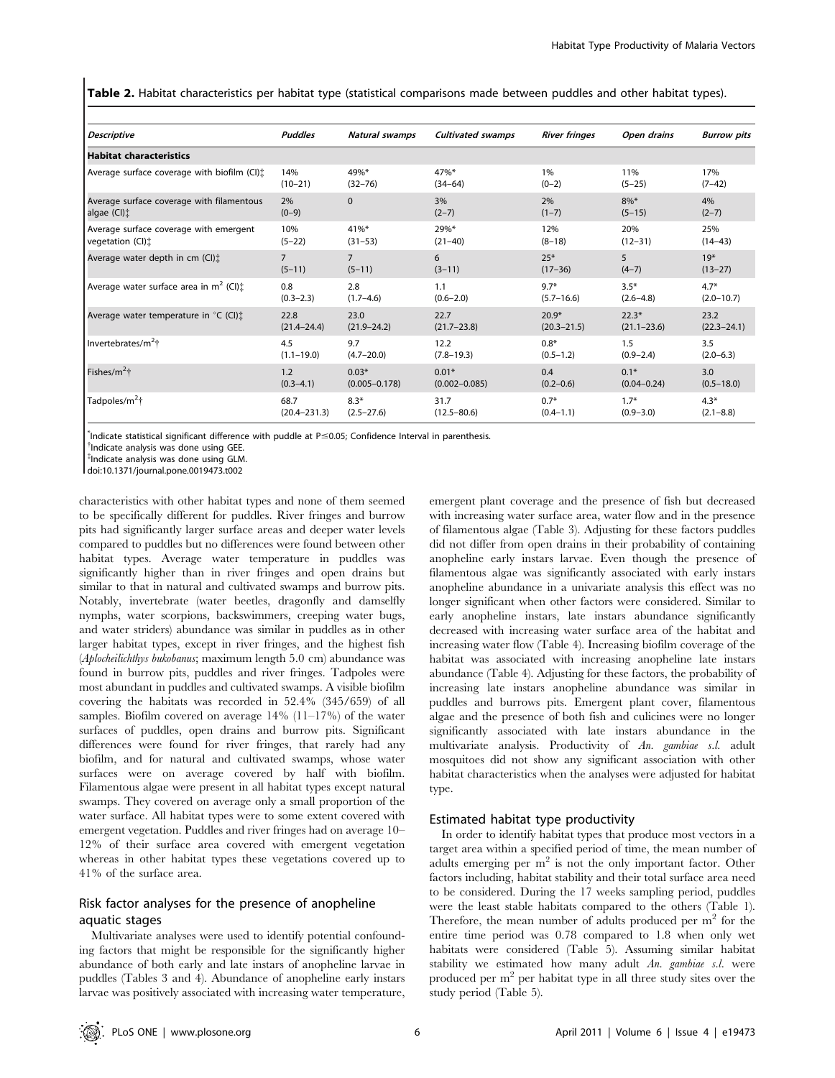Table 2. Habitat characteristics per habitat type (statistical comparisons made between puddles and other habitat types).

| <b>Descriptive</b>                                  | <b>Puddles</b>   | Natural swamps    | <b>Cultivated swamps</b> | <b>River fringes</b> | Open drains     | <b>Burrow pits</b> |
|-----------------------------------------------------|------------------|-------------------|--------------------------|----------------------|-----------------|--------------------|
| <b>Habitat characteristics</b>                      |                  |                   |                          |                      |                 |                    |
| Average surface coverage with biofilm (CI):         | 14%              | 49%*              | 47%*                     | 1%                   | 11%             | 17%                |
|                                                     | $(10-21)$        | $(32 - 76)$       | $(34 - 64)$              | $(0-2)$              | $(5-25)$        | $(7-42)$           |
| Average surface coverage with filamentous           | 2%               | $\Omega$          | 3%                       | 2%                   | $8\%*$          | 4%                 |
| algae $(Cl)$ :                                      | $(0-9)$          |                   | $(2-7)$                  | $(1-7)$              | $(5 - 15)$      | $(2-7)$            |
| Average surface coverage with emergent              | 10%              | $41\%$ *          | 29%*                     | 12%                  | 20%             | 25%                |
| vegetation (CI):                                    | $(5-22)$         | $(31 - 53)$       | $(21-40)$                | $(8-18)$             | $(12 - 31)$     | $(14-43)$          |
| Average water depth in cm (CI):                     | $\overline{7}$   | $\overline{7}$    | 6                        | $25*$                | 5               | $19*$              |
|                                                     | $(5-11)$         | $(5-11)$          | $(3-11)$                 | $(17 - 36)$          | $(4 - 7)$       | $(13-27)$          |
| Average water surface area in $m^2$ (CI) $\ddagger$ | 0.8              | 2.8               | 1.1                      | $9.7*$               | $3.5*$          | $4.7*$             |
|                                                     | $(0.3 - 2.3)$    | $(1.7 - 4.6)$     | $(0.6 - 2.0)$            | $(5.7 - 16.6)$       | $(2.6 - 4.8)$   | $(2.0 - 10.7)$     |
| Average water temperature in $\mathrm{C}$ (CI):     | 22.8             | 23.0              | 22.7                     | $20.9*$              | $22.3*$         | 23.2               |
|                                                     | $(21.4 - 24.4)$  | $(21.9 - 24.2)$   | $(21.7 - 23.8)$          | $(20.3 - 21.5)$      | $(21.1 - 23.6)$ | $(22.3 - 24.1)$    |
| Invertebrates/m <sup>2</sup> †                      | 4.5              | 9.7               | 12.2                     | $0.8*$               | 1.5             | 3.5                |
|                                                     | $(1.1 - 19.0)$   | $(4.7 - 20.0)$    | $(7.8 - 19.3)$           | $(0.5 - 1.2)$        | $(0.9 - 2.4)$   | $(2.0 - 6.3)$      |
| Fishes/ $m^2$ †                                     | 1.2              | $0.03*$           | $0.01*$                  | 0.4                  | $0.1*$          | 3.0                |
|                                                     | $(0.3 - 4.1)$    | $(0.005 - 0.178)$ | $(0.002 - 0.085)$        | $(0.2 - 0.6)$        | $(0.04 - 0.24)$ | $(0.5 - 18.0)$     |
| Tadpoles/m <sup>2</sup> †                           | 68.7             | $8.3*$            | 31.7                     | $0.7*$               | $1.7*$          | $4.3*$             |
|                                                     | $(20.4 - 231.3)$ | $(2.5 - 27.6)$    | $(12.5 - 80.6)$          | $(0.4 - 1.1)$        | $(0.9 - 3.0)$   | $(2.1 - 8.8)$      |

 $\textsuperscript{4}$  Indicate statistical significant difference with puddle at P $\leq$ 0.05; Confidence Interval in parenthesis.<br> $\textsuperscript{4}$  indicate analysis was done using GEE

<sup>†</sup>Indicate analysis was done using GEE.

{ Indicate analysis was done using GLM.

doi:10.1371/journal.pone.0019473.t002

characteristics with other habitat types and none of them seemed to be specifically different for puddles. River fringes and burrow pits had significantly larger surface areas and deeper water levels compared to puddles but no differences were found between other habitat types. Average water temperature in puddles was significantly higher than in river fringes and open drains but similar to that in natural and cultivated swamps and burrow pits. Notably, invertebrate (water beetles, dragonfly and damselfly nymphs, water scorpions, backswimmers, creeping water bugs, and water striders) abundance was similar in puddles as in other larger habitat types, except in river fringes, and the highest fish (Aplocheilichthys bukobanus; maximum length 5.0 cm) abundance was found in burrow pits, puddles and river fringes. Tadpoles were most abundant in puddles and cultivated swamps. A visible biofilm covering the habitats was recorded in 52.4% (345/659) of all samples. Biofilm covered on average  $14\%$  (11–17%) of the water surfaces of puddles, open drains and burrow pits. Significant differences were found for river fringes, that rarely had any biofilm, and for natural and cultivated swamps, whose water surfaces were on average covered by half with biofilm. Filamentous algae were present in all habitat types except natural swamps. They covered on average only a small proportion of the water surface. All habitat types were to some extent covered with emergent vegetation. Puddles and river fringes had on average 10– 12% of their surface area covered with emergent vegetation whereas in other habitat types these vegetations covered up to 41% of the surface area.

## Risk factor analyses for the presence of anopheline aquatic stages

Multivariate analyses were used to identify potential confounding factors that might be responsible for the significantly higher abundance of both early and late instars of anopheline larvae in puddles (Tables 3 and 4). Abundance of anopheline early instars larvae was positively associated with increasing water temperature,

emergent plant coverage and the presence of fish but decreased with increasing water surface area, water flow and in the presence of filamentous algae (Table 3). Adjusting for these factors puddles did not differ from open drains in their probability of containing anopheline early instars larvae. Even though the presence of filamentous algae was significantly associated with early instars anopheline abundance in a univariate analysis this effect was no longer significant when other factors were considered. Similar to early anopheline instars, late instars abundance significantly decreased with increasing water surface area of the habitat and increasing water flow (Table 4). Increasing biofilm coverage of the habitat was associated with increasing anopheline late instars abundance (Table 4). Adjusting for these factors, the probability of increasing late instars anopheline abundance was similar in puddles and burrows pits. Emergent plant cover, filamentous algae and the presence of both fish and culicines were no longer significantly associated with late instars abundance in the multivariate analysis. Productivity of An. gambiae s.l. adult mosquitoes did not show any significant association with other habitat characteristics when the analyses were adjusted for habitat type.

## Estimated habitat type productivity

In order to identify habitat types that produce most vectors in a target area within a specified period of time, the mean number of adults emerging per  $m<sup>2</sup>$  is not the only important factor. Other factors including, habitat stability and their total surface area need to be considered. During the 17 weeks sampling period, puddles were the least stable habitats compared to the others (Table 1). Therefore, the mean number of adults produced per  $m<sup>2</sup>$  for the entire time period was 0.78 compared to 1.8 when only wet habitats were considered (Table 5). Assuming similar habitat stability we estimated how many adult An. gambiae s.l. were produced per m2 per habitat type in all three study sites over the study period (Table 5).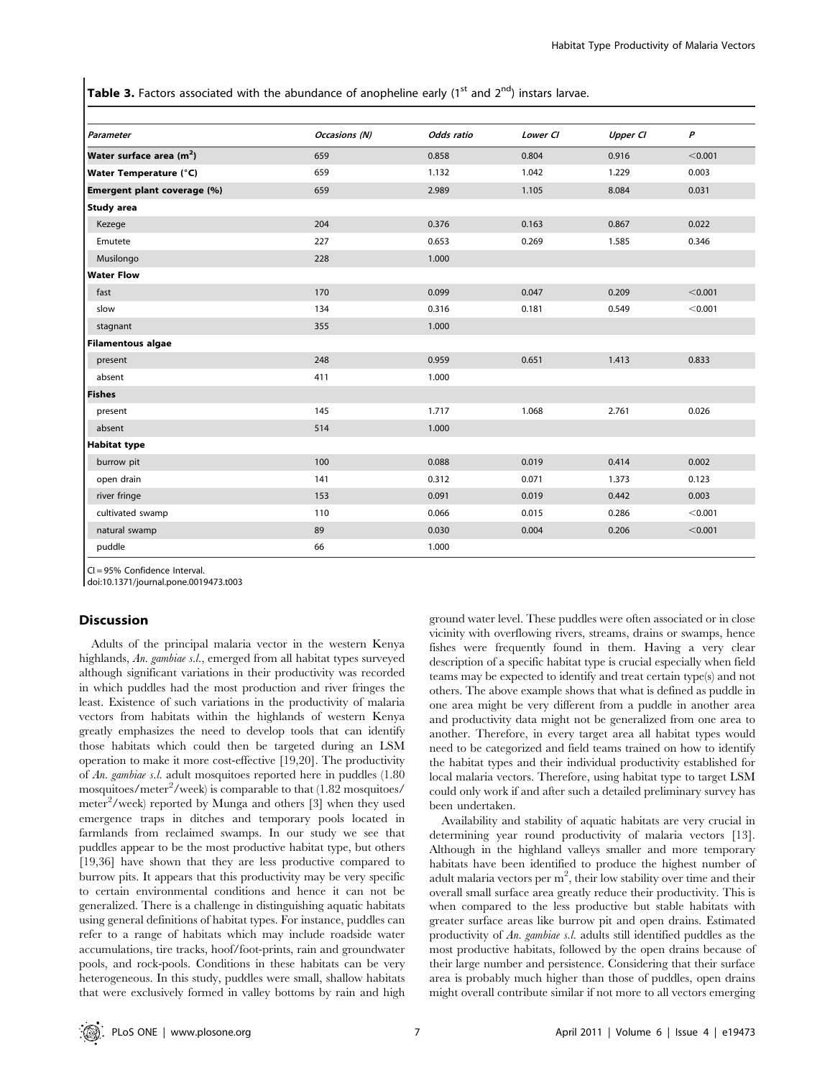**Table 3.** Factors associated with the abundance of anopheline early (1<sup>st</sup> and 2<sup>nd</sup>) instars larvae.

| Parameter                            | Occasions (N) | Odds ratio | Lower CI | <b>Upper CI</b> | $\boldsymbol{P}$ |
|--------------------------------------|---------------|------------|----------|-----------------|------------------|
| Water surface area (m <sup>2</sup> ) | 659           | 0.858      | 0.804    | 0.916           | < 0.001          |
| <b>Water Temperature (°C)</b>        | 659           | 1.132      | 1.042    | 1.229           | 0.003            |
| Emergent plant coverage (%)          | 659           | 2.989      | 1.105    | 8.084           | 0.031            |
| <b>Study area</b>                    |               |            |          |                 |                  |
| Kezege                               | 204           | 0.376      | 0.163    | 0.867           | 0.022            |
| Emutete                              | 227           | 0.653      | 0.269    | 1.585           | 0.346            |
| Musilongo                            | 228           | 1.000      |          |                 |                  |
| <b>Water Flow</b>                    |               |            |          |                 |                  |
| fast                                 | 170           | 0.099      | 0.047    | 0.209           | < 0.001          |
| slow                                 | 134           | 0.316      | 0.181    | 0.549           | < 0.001          |
| stagnant                             | 355           | 1.000      |          |                 |                  |
| <b>Filamentous algae</b>             |               |            |          |                 |                  |
| present                              | 248           | 0.959      | 0.651    | 1.413           | 0.833            |
| absent                               | 411           | 1.000      |          |                 |                  |
| <b>Fishes</b>                        |               |            |          |                 |                  |
| present                              | 145           | 1.717      | 1.068    | 2.761           | 0.026            |
| absent                               | 514           | 1.000      |          |                 |                  |
| <b>Habitat type</b>                  |               |            |          |                 |                  |
| burrow pit                           | 100           | 0.088      | 0.019    | 0.414           | 0.002            |
| open drain                           | 141           | 0.312      | 0.071    | 1.373           | 0.123            |
| river fringe                         | 153           | 0.091      | 0.019    | 0.442           | 0.003            |
| cultivated swamp                     | 110           | 0.066      | 0.015    | 0.286           | < 0.001          |
| natural swamp                        | 89            | 0.030      | 0.004    | 0.206           | < 0.001          |
| puddle                               | 66            | 1.000      |          |                 |                  |

CI = 95% Confidence Interval.

doi:10.1371/journal.pone.0019473.t003

## **Discussion**

Adults of the principal malaria vector in the western Kenya highlands, An. gambiae s.l., emerged from all habitat types surveyed although significant variations in their productivity was recorded in which puddles had the most production and river fringes the least. Existence of such variations in the productivity of malaria vectors from habitats within the highlands of western Kenya greatly emphasizes the need to develop tools that can identify those habitats which could then be targeted during an LSM operation to make it more cost-effective [19,20]. The productivity of An. gambiae s.l. adult mosquitoes reported here in puddles (1.80 mosquitoes/meter<sup>2</sup>/week) is comparable to that (1.82 mosquitoes/ meter<sup>2</sup>/week) reported by Munga and others [3] when they used emergence traps in ditches and temporary pools located in farmlands from reclaimed swamps. In our study we see that puddles appear to be the most productive habitat type, but others [19,36] have shown that they are less productive compared to burrow pits. It appears that this productivity may be very specific to certain environmental conditions and hence it can not be generalized. There is a challenge in distinguishing aquatic habitats using general definitions of habitat types. For instance, puddles can refer to a range of habitats which may include roadside water accumulations, tire tracks, hoof/foot-prints, rain and groundwater pools, and rock-pools. Conditions in these habitats can be very heterogeneous. In this study, puddles were small, shallow habitats that were exclusively formed in valley bottoms by rain and high

ground water level. These puddles were often associated or in close vicinity with overflowing rivers, streams, drains or swamps, hence fishes were frequently found in them. Having a very clear description of a specific habitat type is crucial especially when field teams may be expected to identify and treat certain type(s) and not others. The above example shows that what is defined as puddle in one area might be very different from a puddle in another area and productivity data might not be generalized from one area to another. Therefore, in every target area all habitat types would need to be categorized and field teams trained on how to identify the habitat types and their individual productivity established for local malaria vectors. Therefore, using habitat type to target LSM could only work if and after such a detailed preliminary survey has been undertaken.

Availability and stability of aquatic habitats are very crucial in determining year round productivity of malaria vectors [13]. Although in the highland valleys smaller and more temporary habitats have been identified to produce the highest number of adult malaria vectors per  $m^2$ , their low stability over time and their overall small surface area greatly reduce their productivity. This is when compared to the less productive but stable habitats with greater surface areas like burrow pit and open drains. Estimated productivity of An. gambiae s.l. adults still identified puddles as the most productive habitats, followed by the open drains because of their large number and persistence. Considering that their surface area is probably much higher than those of puddles, open drains might overall contribute similar if not more to all vectors emerging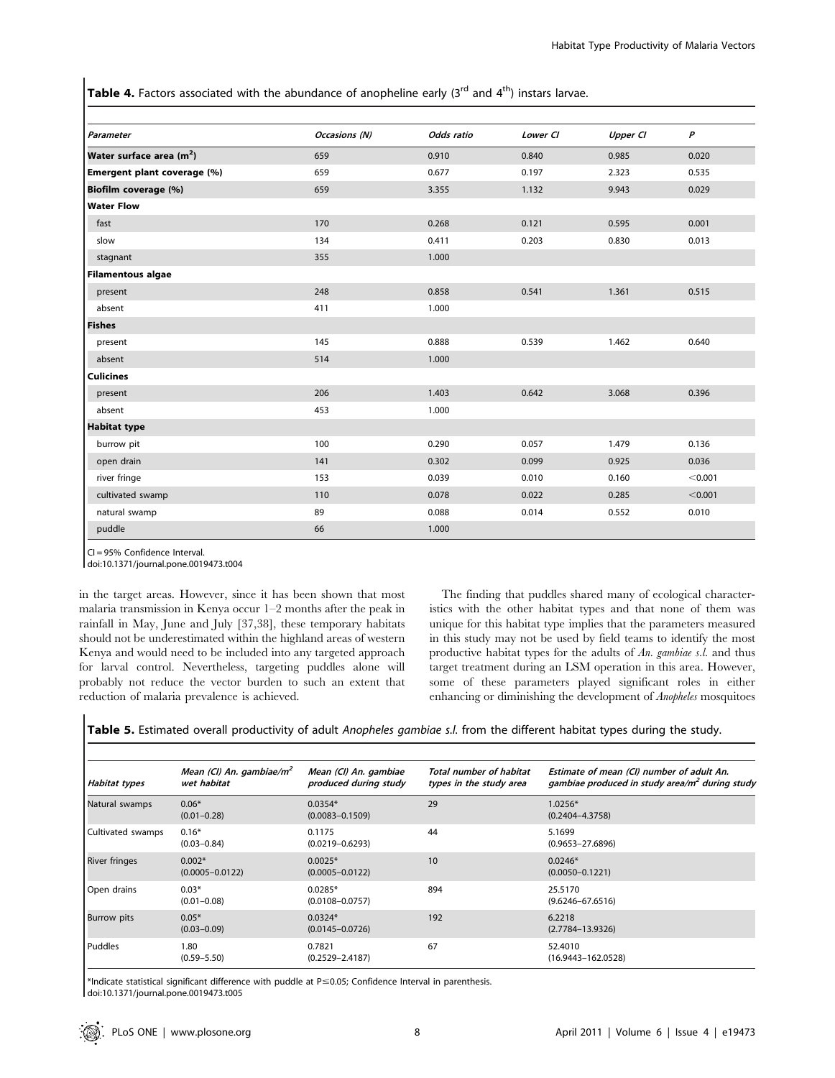**Table 4.** Factors associated with the abundance of anopheline early (3<sup>rd</sup> and 4<sup>th</sup>) instars larvae.

| Parameter                            | Occasions (N) | Odds ratio | Lower CI | <b>Upper CI</b> | P       |
|--------------------------------------|---------------|------------|----------|-----------------|---------|
| Water surface area (m <sup>2</sup> ) | 659           | 0.910      | 0.840    | 0.985           | 0.020   |
| Emergent plant coverage (%)          | 659           | 0.677      | 0.197    | 2.323           | 0.535   |
| Biofilm coverage (%)                 | 659           | 3.355      | 1.132    | 9.943           | 0.029   |
| <b>Water Flow</b>                    |               |            |          |                 |         |
| fast                                 | 170           | 0.268      | 0.121    | 0.595           | 0.001   |
| slow                                 | 134           | 0.411      | 0.203    | 0.830           | 0.013   |
| stagnant                             | 355           | 1.000      |          |                 |         |
| <b>Filamentous algae</b>             |               |            |          |                 |         |
| present                              | 248           | 0.858      | 0.541    | 1.361           | 0.515   |
| absent                               | 411           | 1.000      |          |                 |         |
| <b>Fishes</b>                        |               |            |          |                 |         |
| present                              | 145           | 0.888      | 0.539    | 1.462           | 0.640   |
| absent                               | 514           | 1.000      |          |                 |         |
| <b>Culicines</b>                     |               |            |          |                 |         |
| present                              | 206           | 1.403      | 0.642    | 3.068           | 0.396   |
| absent                               | 453           | 1.000      |          |                 |         |
| <b>Habitat type</b>                  |               |            |          |                 |         |
| burrow pit                           | 100           | 0.290      | 0.057    | 1.479           | 0.136   |
| open drain                           | 141           | 0.302      | 0.099    | 0.925           | 0.036   |
| river fringe                         | 153           | 0.039      | 0.010    | 0.160           | < 0.001 |
| cultivated swamp                     | 110           | 0.078      | 0.022    | 0.285           | < 0.001 |
| natural swamp                        | 89            | 0.088      | 0.014    | 0.552           | 0.010   |
| puddle                               | 66            | 1.000      |          |                 |         |

CI = 95% Confidence Interval.

doi:10.1371/journal.pone.0019473.t004

in the target areas. However, since it has been shown that most malaria transmission in Kenya occur 1–2 months after the peak in rainfall in May, June and July [37,38], these temporary habitats should not be underestimated within the highland areas of western Kenya and would need to be included into any targeted approach for larval control. Nevertheless, targeting puddles alone will probably not reduce the vector burden to such an extent that reduction of malaria prevalence is achieved.

The finding that puddles shared many of ecological characteristics with the other habitat types and that none of them was unique for this habitat type implies that the parameters measured in this study may not be used by field teams to identify the most productive habitat types for the adults of An. gambiae s.l. and thus target treatment during an LSM operation in this area. However, some of these parameters played significant roles in either enhancing or diminishing the development of Anopheles mosquitoes

Table 5. Estimated overall productivity of adult Anopheles gambiae s.l. from the different habitat types during the study.

| Habitat types        | Mean (CI) An. gambiae/m <sup>2</sup><br>wet habitat | Mean (CI) An. gambiae<br>produced during study | Total number of habitat<br>types in the study area | Estimate of mean (CI) number of adult An.<br>gambiae produced in study area/m <sup>2</sup> during study |
|----------------------|-----------------------------------------------------|------------------------------------------------|----------------------------------------------------|---------------------------------------------------------------------------------------------------------|
| Natural swamps       | $0.06*$<br>$(0.01 - 0.28)$                          | $0.0354*$<br>$(0.0083 - 0.1509)$               | 29                                                 | $1.0256*$<br>$(0.2404 - 4.3758)$                                                                        |
| Cultivated swamps    | $0.16*$<br>$(0.03 - 0.84)$                          | 0.1175<br>$(0.0219 - 0.6293)$                  | 44                                                 | 5.1699<br>$(0.9653 - 27.6896)$                                                                          |
| <b>River fringes</b> | $0.002*$<br>$(0.0005 - 0.0122)$                     | $0.0025*$<br>$(0.0005 - 0.0122)$               | 10                                                 | $0.0246*$<br>$(0.0050 - 0.1221)$                                                                        |
| Open drains          | $0.03*$<br>$(0.01 - 0.08)$                          | $0.0285*$<br>$(0.0108 - 0.0757)$               | 894                                                | 25.5170<br>$(9.6246 - 67.6516)$                                                                         |
| <b>Burrow</b> pits   | $0.05*$<br>$(0.03 - 0.09)$                          | $0.0324*$<br>$(0.0145 - 0.0726)$               | 192                                                | 6.2218<br>$(2.7784 - 13.9326)$                                                                          |
| l Puddles            | 1.80<br>$(0.59 - 5.50)$                             | 0.7821<br>$(0.2529 - 2.4187)$                  | 67                                                 | 52,4010<br>$(16.9443 - 162.0528)$                                                                       |

\*Indicate statistical significant difference with puddle at P#0.05; Confidence Interval in parenthesis. doi:10.1371/journal.pone.0019473.t005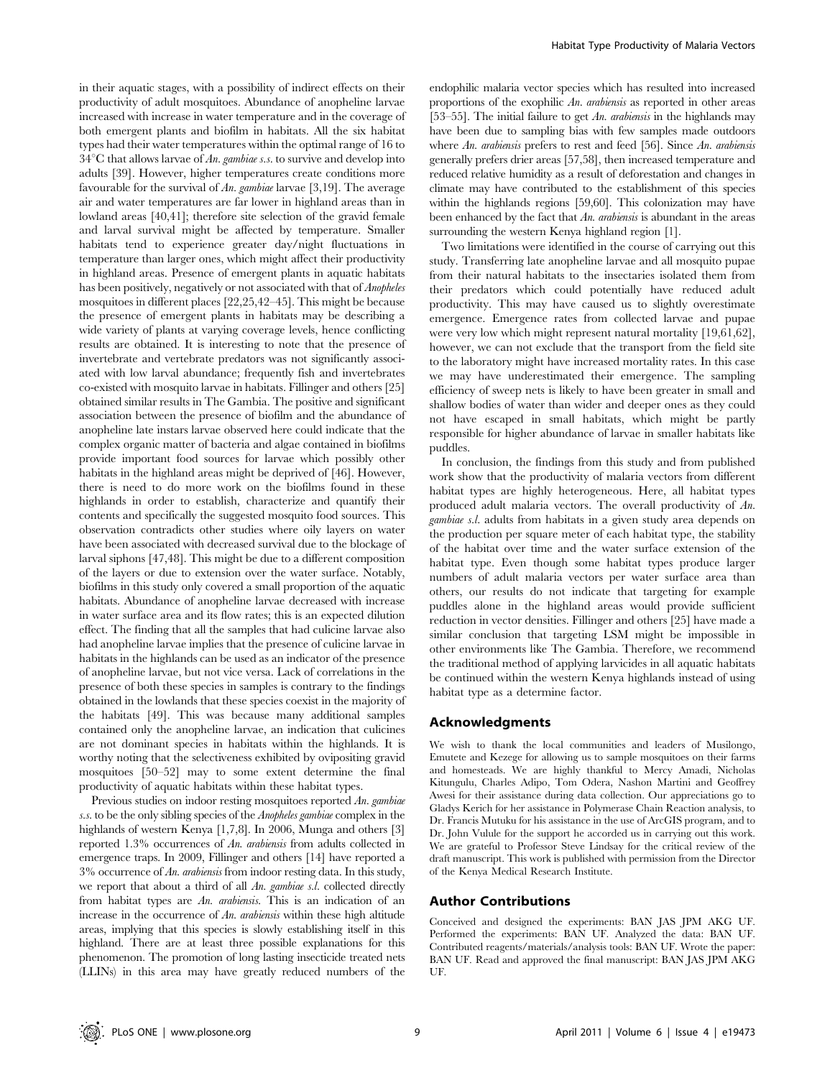in their aquatic stages, with a possibility of indirect effects on their productivity of adult mosquitoes. Abundance of anopheline larvae increased with increase in water temperature and in the coverage of both emergent plants and biofilm in habitats. All the six habitat types had their water temperatures within the optimal range of 16 to  $34^{\circ}$ C that allows larvae of An. gambiae s.s. to survive and develop into adults [39]. However, higher temperatures create conditions more favourable for the survival of An. gambiae larvae [3,19]. The average air and water temperatures are far lower in highland areas than in lowland areas [40,41]; therefore site selection of the gravid female and larval survival might be affected by temperature. Smaller habitats tend to experience greater day/night fluctuations in temperature than larger ones, which might affect their productivity in highland areas. Presence of emergent plants in aquatic habitats has been positively, negatively or not associated with that of Anopheles mosquitoes in different places [22,25,42–45]. This might be because the presence of emergent plants in habitats may be describing a wide variety of plants at varying coverage levels, hence conflicting results are obtained. It is interesting to note that the presence of invertebrate and vertebrate predators was not significantly associated with low larval abundance; frequently fish and invertebrates co-existed with mosquito larvae in habitats. Fillinger and others [25] obtained similar results in The Gambia. The positive and significant association between the presence of biofilm and the abundance of anopheline late instars larvae observed here could indicate that the complex organic matter of bacteria and algae contained in biofilms provide important food sources for larvae which possibly other habitats in the highland areas might be deprived of [46]. However, there is need to do more work on the biofilms found in these highlands in order to establish, characterize and quantify their contents and specifically the suggested mosquito food sources. This observation contradicts other studies where oily layers on water have been associated with decreased survival due to the blockage of larval siphons [47,48]. This might be due to a different composition of the layers or due to extension over the water surface. Notably, biofilms in this study only covered a small proportion of the aquatic habitats. Abundance of anopheline larvae decreased with increase in water surface area and its flow rates; this is an expected dilution effect. The finding that all the samples that had culicine larvae also had anopheline larvae implies that the presence of culicine larvae in habitats in the highlands can be used as an indicator of the presence of anopheline larvae, but not vice versa. Lack of correlations in the presence of both these species in samples is contrary to the findings obtained in the lowlands that these species coexist in the majority of the habitats [49]. This was because many additional samples contained only the anopheline larvae, an indication that culicines are not dominant species in habitats within the highlands. It is worthy noting that the selectiveness exhibited by ovipositing gravid mosquitoes [50–52] may to some extent determine the final productivity of aquatic habitats within these habitat types.

Previous studies on indoor resting mosquitoes reported An. gambiae s.s. to be the only sibling species of the *Anopheles gambiae* complex in the highlands of western Kenya [1,7,8]. In 2006, Munga and others [3] reported 1.3% occurrences of An. arabiensis from adults collected in emergence traps. In 2009, Fillinger and others [14] have reported a  $3\%$  occurrence of An. arabiensis from indoor resting data. In this study, we report that about a third of all An. gambiae s.l. collected directly from habitat types are An. arabiensis. This is an indication of an increase in the occurrence of An. arabiensis within these high altitude areas, implying that this species is slowly establishing itself in this highland. There are at least three possible explanations for this phenomenon. The promotion of long lasting insecticide treated nets (LLINs) in this area may have greatly reduced numbers of the

endophilic malaria vector species which has resulted into increased proportions of the exophilic An. arabiensis as reported in other areas [53–55]. The initial failure to get An. arabiensis in the highlands may have been due to sampling bias with few samples made outdoors where An. arabiensis prefers to rest and feed [56]. Since An. arabiensis generally prefers drier areas [57,58], then increased temperature and reduced relative humidity as a result of deforestation and changes in climate may have contributed to the establishment of this species within the highlands regions [59,60]. This colonization may have been enhanced by the fact that An. arabiensis is abundant in the areas surrounding the western Kenya highland region [1].

Two limitations were identified in the course of carrying out this study. Transferring late anopheline larvae and all mosquito pupae from their natural habitats to the insectaries isolated them from their predators which could potentially have reduced adult productivity. This may have caused us to slightly overestimate emergence. Emergence rates from collected larvae and pupae were very low which might represent natural mortality [19,61,62], however, we can not exclude that the transport from the field site to the laboratory might have increased mortality rates. In this case we may have underestimated their emergence. The sampling efficiency of sweep nets is likely to have been greater in small and shallow bodies of water than wider and deeper ones as they could not have escaped in small habitats, which might be partly responsible for higher abundance of larvae in smaller habitats like puddles.

In conclusion, the findings from this study and from published work show that the productivity of malaria vectors from different habitat types are highly heterogeneous. Here, all habitat types produced adult malaria vectors. The overall productivity of An. gambiae s.l. adults from habitats in a given study area depends on the production per square meter of each habitat type, the stability of the habitat over time and the water surface extension of the habitat type. Even though some habitat types produce larger numbers of adult malaria vectors per water surface area than others, our results do not indicate that targeting for example puddles alone in the highland areas would provide sufficient reduction in vector densities. Fillinger and others [25] have made a similar conclusion that targeting LSM might be impossible in other environments like The Gambia. Therefore, we recommend the traditional method of applying larvicides in all aquatic habitats be continued within the western Kenya highlands instead of using habitat type as a determine factor.

#### Acknowledgments

We wish to thank the local communities and leaders of Musilongo, Emutete and Kezege for allowing us to sample mosquitoes on their farms and homesteads. We are highly thankful to Mercy Amadi, Nicholas Kitungulu, Charles Adipo, Tom Odera, Nashon Martini and Geoffrey Awesi for their assistance during data collection. Our appreciations go to Gladys Kerich for her assistance in Polymerase Chain Reaction analysis, to Dr. Francis Mutuku for his assistance in the use of ArcGIS program, and to Dr. John Vulule for the support he accorded us in carrying out this work. We are grateful to Professor Steve Lindsay for the critical review of the draft manuscript. This work is published with permission from the Director of the Kenya Medical Research Institute.

## Author Contributions

Conceived and designed the experiments: BAN JAS JPM AKG UF. Performed the experiments: BAN UF. Analyzed the data: BAN UF. Contributed reagents/materials/analysis tools: BAN UF. Wrote the paper: BAN UF. Read and approved the final manuscript: BAN JAS JPM AKG UF.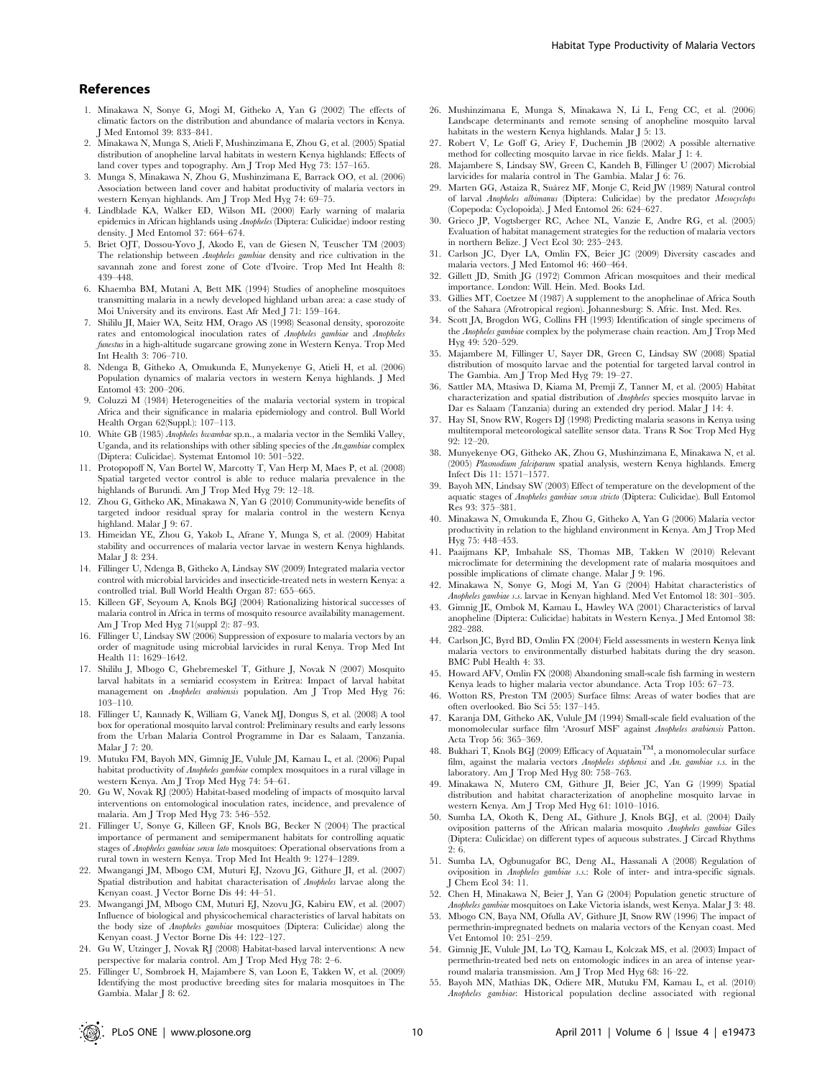#### References

- 1. Minakawa N, Sonye G, Mogi M, Githeko A, Yan G (2002) The effects of climatic factors on the distribution and abundance of malaria vectors in Kenya. J Med Entomol 39: 833–841.
- 2. Minakawa N, Munga S, Atieli F, Mushinzimana E, Zhou G, et al. (2005) Spatial distribution of anopheline larval habitats in western Kenya highlands: Effects of land cover types and topography. Am J Trop Med Hyg 73: 157–165.
- 3. Munga S, Minakawa N, Zhou G, Mushinzimana E, Barrack OO, et al. (2006) Association between land cover and habitat productivity of malaria vectors in western Kenyan highlands. Am J Trop Med Hyg 74: 69–75.
- 4. Lindblade KA, Walker ED, Wilson ML (2000) Early warning of malaria epidemics in African highlands using Anopheles (Diptera: Culicidae) indoor resting density. J Med Entomol 37: 664–674.
- 5. Briet OJT, Dossou-Yovo J, Akodo E, van de Giesen N, Teuscher TM (2003) The relationship between Anopheles gambiae density and rice cultivation in the savannah zone and forest zone of Cote d'Ivoire. Trop Med Int Health 8: 439–448.
- 6. Khaemba BM, Mutani A, Bett MK (1994) Studies of anopheline mosquitoes transmitting malaria in a newly developed highland urban area: a case study of Moi University and its environs. East Afr Med J 71: 159–164.
- 7. Shililu JI, Maier WA, Seitz HM, Orago AS (1998) Seasonal density, sporozoite rates and entomological inoculation rates of Anopheles gambiae and Anopheles funestus in a high-altitude sugarcane growing zone in Western Kenya. Trop Med Int Health 3: 706–710.
- 8. Ndenga B, Githeko A, Omukunda E, Munyekenye G, Atieli H, et al. (2006) Population dynamics of malaria vectors in western Kenya highlands. J Med Entomol 43: 200–206.
- 9. Coluzzi M (1984) Heterogeneities of the malaria vectorial system in tropical Africa and their significance in malaria epidemiology and control. Bull World Health Organ 62(Suppl.): 107–113.
- 10. White GB (1985) Anopheles bwambae sp.n., a malaria vector in the Semliki Valley, Uganda, and its relationships with other sibling species of the An.gambiae complex (Diptera: Culicidae). Systemat Entomol 10: 501–522.
- 11. Protopopoff N, Van Bortel W, Marcotty T, Van Herp M, Maes P, et al. (2008) Spatial targeted vector control is able to reduce malaria prevalence in the highlands of Burundi. Am J Trop Med Hyg 79: 12–18.
- 12. Zhou G, Githeko AK, Minakawa N, Yan G (2010) Community-wide benefits of targeted indoor residual spray for malaria control in the western Kenya highland. Malar I 9: 67.
- 13. Himeidan YE, Zhou G, Yakob L, Afrane Y, Munga S, et al. (2009) Habitat stability and occurrences of malaria vector larvae in western Kenya highlands. Malar J 8: 234.
- 14. Fillinger U, Ndenga B, Githeko A, Lindsay SW (2009) Integrated malaria vector control with microbial larvicides and insecticide-treated nets in western Kenya: a controlled trial. Bull World Health Organ 87: 655–665.
- 15. Killeen GF, Seyoum A, Knols BGJ (2004) Rationalizing historical successes of malaria control in Africa in terms of mosquito resource availability management. Am J Trop Med Hyg 71(suppl 2): 87–93.
- 16. Fillinger U, Lindsay SW (2006) Suppression of exposure to malaria vectors by an order of magnitude using microbial larvicides in rural Kenya. Trop Med Int Health 11: 1629–1642.
- 17. Shililu J, Mbogo C, Ghebremeskel T, Githure J, Novak N (2007) Mosquito larval habitats in a semiarid ecosystem in Eritrea: Impact of larval habitat management on Anopheles arabiensis population. Am J Trop Med Hyg 76: 103–110.
- 18. Fillinger U, Kannady K, William G, Vanek MJ, Dongus S, et al. (2008) A tool box for operational mosquito larval control: Preliminary results and early lessons from the Urban Malaria Control Programme in Dar es Salaam, Tanzania. Malar J 7: 20.
- 19. Mutuku FM, Bayoh MN, Gimnig JE, Vulule JM, Kamau L, et al. (2006) Pupal habitat productivity of Anopheles gambiae complex mosquitoes in a rural village in western Kenya. Am J Trop Med Hyg 74: 54–61.
- 20. Gu W, Novak RJ (2005) Habitat-based modeling of impacts of mosquito larval interventions on entomological inoculation rates, incidence, and prevalence of malaria. Am J Trop Med Hyg 73: 546–552.
- 21. Fillinger U, Sonye G, Killeen GF, Knols BG, Becker N (2004) The practical importance of permanent and semipermanent habitats for controlling aquatic stages of Anopheles gambiae sensu lato mosquitoes: Operational observations from a rural town in western Kenya. Trop Med Int Health 9: 1274–1289.
- 22. Mwangangi JM, Mbogo CM, Muturi EJ, Nzovu JG, Githure JI, et al. (2007) Spatial distribution and habitat characterisation of Anopheles larvae along the Kenyan coast. J Vector Borne Dis 44: 44–51.
- 23. Mwangangi JM, Mbogo CM, Muturi EJ, Nzovu JG, Kabiru EW, et al. (2007) Influence of biological and physicochemical characteristics of larval habitats on the body size of Anopheles gambiae mosquitoes (Diptera: Culicidae) along the Kenyan coast. J Vector Borne Dis 44: 122–127.
- 24. Gu W, Utzinger J, Novak RJ (2008) Habitat-based larval interventions: A new perspective for malaria control. Am J Trop Med Hyg 78: 2–6.
- 25. Fillinger U, Sombroek H, Majambere S, van Loon E, Takken W, et al. (2009) Identifying the most productive breeding sites for malaria mosquitoes in The Gambia. Malar J 8: 62.
- 26. Mushinzimana E, Munga S, Minakawa N, Li L, Feng CC, et al. (2006) Landscape determinants and remote sensing of anopheline mosquito larval habitats in the western Kenya highlands. Malar J 5: 13.
- 27. Robert V, Le Goff G, Ariey F, Duchemin JB (2002) A possible alternative method for collecting mosquito larvae in rice fields. Malar J 1: 4.
- 28. Majambere S, Lindsay SW, Green C, Kandeh B, Fillinger U (2007) Microbial larvicides for malaria control in The Gambia. Malar J 6: 76.
- 29. Marten GG, Astaiza R, Suárez MF, Monje C, Reid JW (1989) Natural control of larval Anopheles albimanus (Diptera: Culicidae) by the predator Mesocyclops (Copepoda: Cyclopoida). J Med Entomol 26: 624–627.
- 30. Grieco JP, Vogtsberger RC, Achee NL, Vanzie E, Andre RG, et al. (2005) Evaluation of habitat management strategies for the reduction of malaria vectors in northern Belize. J Vect Ecol 30: 235–243.
- 31. Carlson JC, Dyer LA, Omlin FX, Beier JC (2009) Diversity cascades and malaria vectors. J Med Entomol 46: 460–464.
- 32. Gillett JD, Smith JG (1972) Common African mosquitoes and their medical importance. London: Will. Hein. Med. Books Ltd.
- 33. Gillies MT, Coetzee M (1987) A supplement to the anophelinae of Africa South of the Sahara (Afrotropical region). Johannesburg: S. Afric. Inst. Med. Res.
- 34. Scott JA, Brogdon WG, Collins FH (1993) Identification of single specimens of the Anopheles gambiae complex by the polymerase chain reaction. Am J Trop Med Hyg 49: 520–529.
- 35. Majambere M, Fillinger U, Sayer DR, Green C, Lindsay SW (2008) Spatial distribution of mosquito larvae and the potential for targeted larval control in The Gambia. Am J Trop Med Hyg 79: 19–27.
- 36. Sattler MA, Mtasiwa D, Kiama M, Premji Z, Tanner M, et al. (2005) Habitat characterization and spatial distribution of Anopheles species mosquito larvae in Dar es Salaam (Tanzania) during an extended dry period. Malar J 14: 4.
- 37. Hay SI, Snow RW, Rogers DJ (1998) Predicting malaria seasons in Kenya using multitemporal meteorological satellite sensor data. Trans R Soc Trop Med Hyg 92: 12–20.
- 38. Munyekenye OG, Githeko AK, Zhou G, Mushinzimana E, Minakawa N, et al. (2005) Plasmodium falciparum spatial analysis, western Kenya highlands. Emerg Infect Dis 11: 1571–1577.
- 39. Bayoh MN, Lindsay SW (2003) Effect of temperature on the development of the aquatic stages of Anopheles gambiae sensu stricto (Diptera: Culicidae). Bull Entomol Res 93: 375–381.
- 40. Minakawa N, Omukunda E, Zhou G, Githeko A, Yan G (2006) Malaria vector productivity in relation to the highland environment in Kenya. Am J Trop Med Hyg 75: 448–453.
- 41. Paaijmans KP, Imbahale SS, Thomas MB, Takken W (2010) Relevant microclimate for determining the development rate of malaria mosquitoes and possible implications of climate change. Malar J 9: 196.
- 42. Minakawa N, Sonye G, Mogi M, Yan G (2004) Habitat characteristics of Anopheles gambiae s.s. larvae in Kenyan highland. Med Vet Entomol 18: 301–305.
- 43. Gimnig JE, Ombok M, Kamau L, Hawley WA (2001) Characteristics of larval anopheline (Diptera: Culicidae) habitats in Western Kenya. J Med Entomol 38: 282–288.
- 44. Carlson JC, Byrd BD, Omlin FX (2004) Field assessments in western Kenya link malaria vectors to environmentally disturbed habitats during the dry season. BMC Publ Health 4: 33.
- 45. Howard AFV, Omlin FX (2008) Abandoning small-scale fish farming in western Kenya leads to higher malaria vector abundance. Acta Trop 105: 67–73.
- 46. Wotton RS, Preston TM (2005) Surface films: Areas of water bodies that are often overlooked. Bio Sci 55: 137–145.
- 47. Karanja DM, Githeko AK, Vulule JM (1994) Small-scale field evaluation of the monomolecular surface film 'Arosurf MSF' against Anopheles arabiensis Patton. Acta Trop 56: 365–369.
- 48. Bukhari T, Knols BGJ (2009) Efficacy of AquatainTM, a monomolecular surface film, against the malaria vectors Anopheles stephensi and An. gambiae s.s. in the laboratory. Am J Trop Med Hyg 80: 758–763.
- 49. Minakawa N, Mutero CM, Githure JI, Beier JC, Yan G (1999) Spatial distribution and habitat characterization of anopheline mosquito larvae in western Kenya. Am J Trop Med Hyg 61: 1010–1016.
- 50. Sumba LA, Okoth K, Deng AL, Githure J, Knols BGJ, et al. (2004) Daily oviposition patterns of the African malaria mosquito Anopheles gambiae Giles (Diptera: Culicidae) on different types of aqueous substrates. J Circad Rhythms 2: 6.
- 51. Sumba LA, Ogbunugafor BC, Deng AL, Hassanali A (2008) Regulation of oviposition in Anopheles gambiae s.s.: Role of inter- and intra-specific signals. J Chem Ecol 34: 11.
- 52. Chen H, Minakawa N, Beier J, Yan G (2004) Population genetic structure of Anopheles gambiae mosquitoes on Lake Victoria islands, west Kenya. Malar J 3: 48.
- 53. Mbogo CN, Baya NM, Ofulla AV, Githure JI, Snow RW (1996) The impact of permethrin-impregnated bednets on malaria vectors of the Kenyan coast. Med Vet Entomol 10: 251–259.
- 54. Gimnig JE, Vulule JM, Lo TQ, Kamau L, Kolczak MS, et al. (2003) Impact of permethrin-treated bed nets on entomologic indices in an area of intense yearround malaria transmission. Am J Trop Med Hyg 68: 16–22.
- 55. Bayoh MN, Mathias DK, Odiere MR, Mutuku FM, Kamau L, et al. (2010) Anopheles gambiae: Historical population decline associated with regional